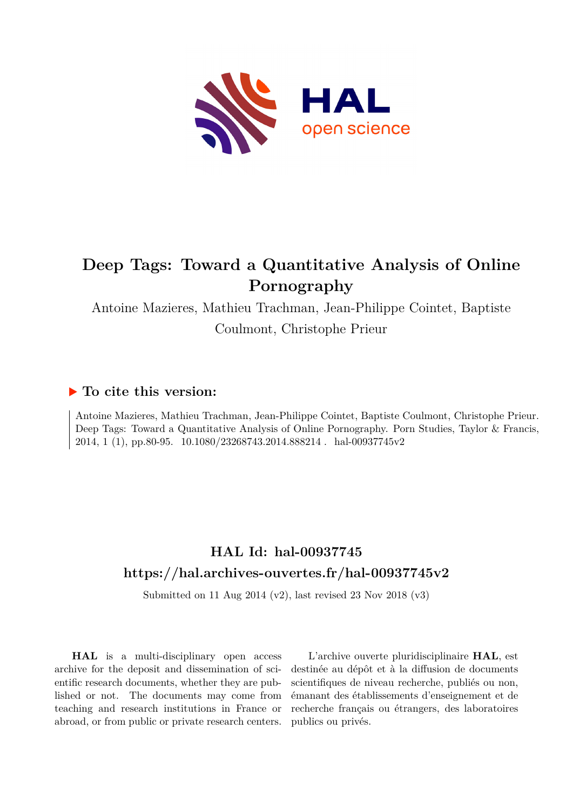

# **Deep Tags: Toward a Quantitative Analysis of Online Pornography**

Antoine Mazieres, Mathieu Trachman, Jean-Philippe Cointet, Baptiste Coulmont, Christophe Prieur

# **To cite this version:**

Antoine Mazieres, Mathieu Trachman, Jean-Philippe Cointet, Baptiste Coulmont, Christophe Prieur. Deep Tags: Toward a Quantitative Analysis of Online Pornography. Porn Studies, Taylor & Francis, 2014, 1 (1), pp.80-95. 10.1080/23268743.2014.888214 . hal-00937745v2

# **HAL Id: hal-00937745 <https://hal.archives-ouvertes.fr/hal-00937745v2>**

Submitted on 11 Aug 2014 (v2), last revised 23 Nov 2018 (v3)

**HAL** is a multi-disciplinary open access archive for the deposit and dissemination of scientific research documents, whether they are published or not. The documents may come from teaching and research institutions in France or abroad, or from public or private research centers.

L'archive ouverte pluridisciplinaire **HAL**, est destinée au dépôt et à la diffusion de documents scientifiques de niveau recherche, publiés ou non, émanant des établissements d'enseignement et de recherche français ou étrangers, des laboratoires publics ou privés.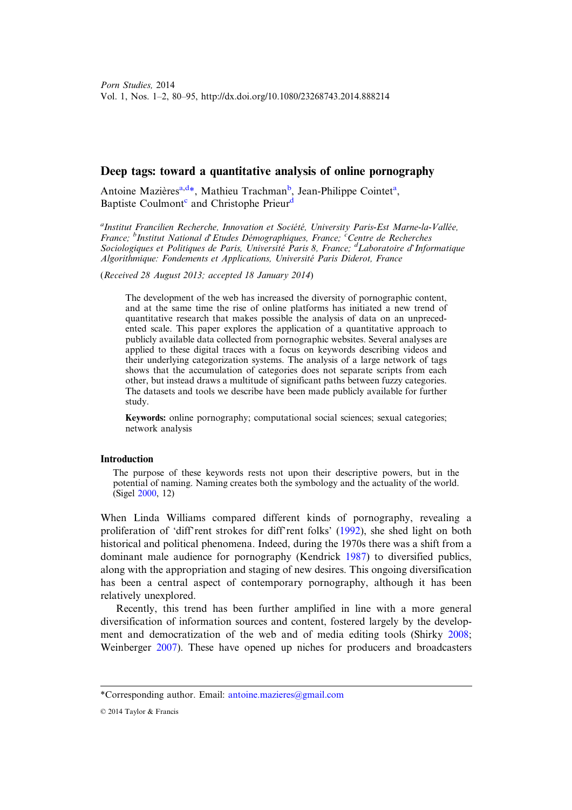# Deep tags: toward a quantitative analysis of online pornography

Antoine Mazières<sup>a,d\*</sup>, Mathieu Trachman<sup>b</sup>, Jean-Philippe Cointet<sup>a</sup>, Baptiste Coulmont<sup>c</sup> and Christophe Prieur<sup>d</sup>

<sup>a</sup>Institut Francilien Recherche, Innovation et Société, University Paris-Est Marne-la-Vallée, France; <sup>b</sup>Institut National d'Etudes Démographiques, France; <sup>c</sup>Centre de Recherches Sociologiques et Politiques de Paris, Université Paris 8, France;  ${}^d$ Laboratoire d'Informatique Algorithmique: Fondements et Applications, Université Paris Diderot, France

(Received 28 August 2013; accepted 18 January 2014)

The development of the web has increased the diversity of pornographic content, and at the same time the rise of online platforms has initiated a new trend of quantitative research that makes possible the analysis of data on an unprecedented scale. This paper explores the application of a quantitative approach to publicly available data collected from pornographic websites. Several analyses are applied to these digital traces with a focus on keywords describing videos and their underlying categorization systems. The analysis of a large network of tags shows that the accumulation of categories does not separate scripts from each other, but instead draws a multitude of significant paths between fuzzy categories. The datasets and tools we describe have been made publicly available for further study.

Keywords: online pornography; computational social sciences; sexual categories; network analysis

### **Introduction**

The purpose of these keywords rests not upon their descriptive powers, but in the potential of naming. Naming creates both the symbology and the actuality of the world. (Sigel 2000, 12)

When Linda Williams compared different kinds of pornography, revealing a proliferation of 'diff'rent strokes for diff'rent folks' (1992), she shed light on both historical and political phenomena. Indeed, during the 1970s there was a shift from a dominant male audience for pornography (Kendrick 1987) to diversified publics, along with the appropriation and staging of new desires. This ongoing diversification has been a central aspect of contemporary pornography, although it has been relatively unexplored.

Recently, this trend has been further amplified in line with a more general diversification of information sources and content, fostered largely by the development and democratization of the web and of media editing tools (Shirky 2008; Weinberger 2007). These have opened up niches for producers and broadcasters

<sup>\*</sup>Corresponding author. Email: antoine.mazieres@gmail.com

<sup>© 2014</sup> Taylor & Francis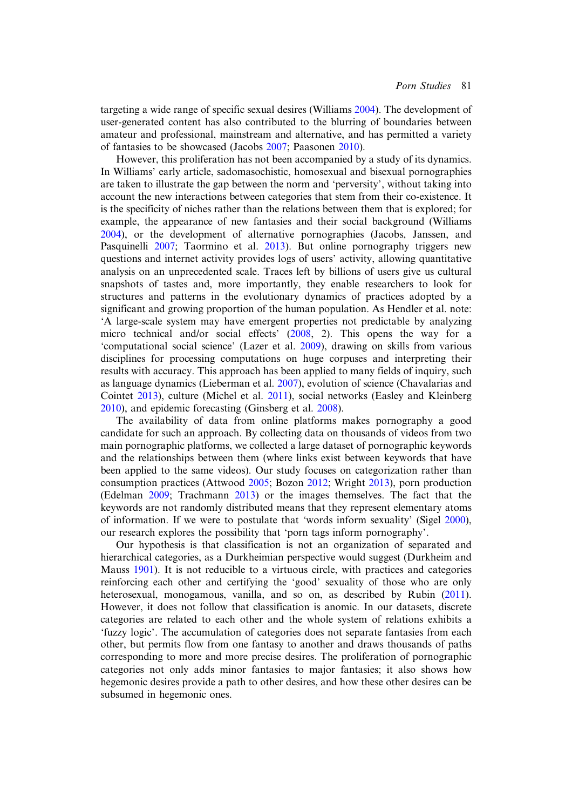targeting a wide range of specific sexual desires (Williams 2004). The development of user-generated content has also contributed to the blurring of boundaries between amateur and professional, mainstream and alternative, and has permitted a variety of fantasies to be showcased (Jacobs 2007; Paasonen 2010).

However, this proliferation has not been accompanied by a study of its dynamics. In Williams' early article, sadomasochistic, homosexual and bisexual pornographies are taken to illustrate the gap between the norm and 'perversity', without taking into account the new interactions between categories that stem from their co-existence. It is the specificity of niches rather than the relations between them that is explored; for example, the appearance of new fantasies and their social background (Williams 2004), or the development of alternative pornographies (Jacobs, Janssen, and Pasquinelli 2007; Taormino et al. 2013). But online pornography triggers new questions and internet activity provides logs of users' activity, allowing quantitative analysis on an unprecedented scale. Traces left by billions of users give us cultural snapshots of tastes and, more importantly, they enable researchers to look for structures and patterns in the evolutionary dynamics of practices adopted by a significant and growing proportion of the human population. As Hendler et al. note: 'A large-scale system may have emergent properties not predictable by analyzing micro technical and/or social effects' (2008, 2). This opens the way for a 'computational social science' (Lazer et al. 2009), drawing on skills from various disciplines for processing computations on huge corpuses and interpreting their results with accuracy. This approach has been applied to many fields of inquiry, such as language dynamics (Lieberman et al. 2007), evolution of science (Chavalarias and Cointet 2013), culture (Michel et al. 2011), social networks (Easley and Kleinberg 2010), and epidemic forecasting (Ginsberg et al. 2008).

The availability of data from online platforms makes pornography a good candidate for such an approach. By collecting data on thousands of videos from two main pornographic platforms, we collected a large dataset of pornographic keywords and the relationships between them (where links exist between keywords that have been applied to the same videos). Our study focuses on categorization rather than consumption practices (Attwood 2005; Bozon 2012; Wright 2013), porn production (Edelman 2009; Trachmann 2013) or the images themselves. The fact that the keywords are not randomly distributed means that they represent elementary atoms of information. If we were to postulate that 'words inform sexuality' (Sigel 2000), our research explores the possibility that 'porn tags inform pornography'.

Our hypothesis is that classification is not an organization of separated and hierarchical categories, as a Durkheimian perspective would suggest (Durkheim and Mauss 1901). It is not reducible to a virtuous circle, with practices and categories reinforcing each other and certifying the 'good' sexuality of those who are only heterosexual, monogamous, vanilla, and so on, as described by Rubin (2011). However, it does not follow that classification is anomic. In our datasets, discrete categories are related to each other and the whole system of relations exhibits a 'fuzzy logic'. The accumulation of categories does not separate fantasies from each other, but permits flow from one fantasy to another and draws thousands of paths corresponding to more and more precise desires. The proliferation of pornographic categories not only adds minor fantasies to major fantasies; it also shows how hegemonic desires provide a path to other desires, and how these other desires can be subsumed in hegemonic ones.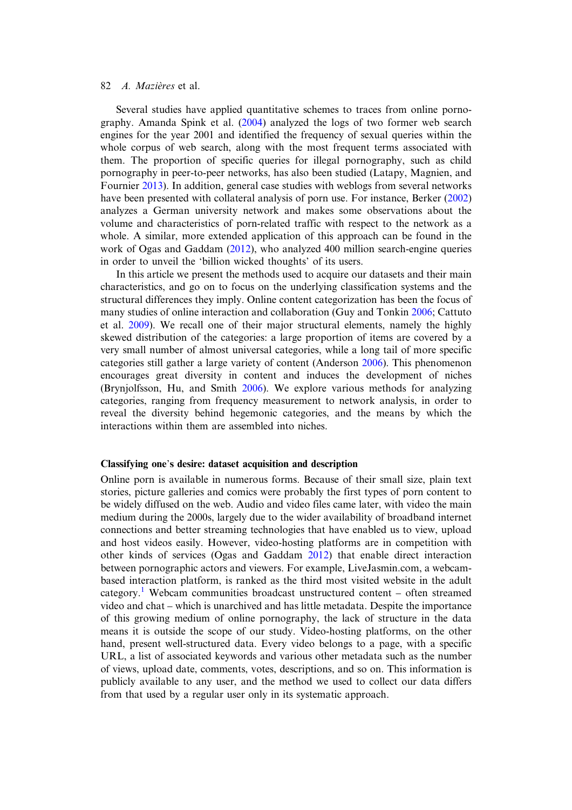Several studies have applied quantitative schemes to traces from online pornography. Amanda Spink et al. (2004) analyzed the logs of two former web search engines for the year 2001 and identified the frequency of sexual queries within the whole corpus of web search, along with the most frequent terms associated with them. The proportion of specific queries for illegal pornography, such as child pornography in peer-to-peer networks, has also been studied (Latapy, Magnien, and Fournier 2013). In addition, general case studies with weblogs from several networks have been presented with collateral analysis of porn use. For instance, Berker (2002) analyzes a German university network and makes some observations about the volume and characteristics of porn-related traffic with respect to the network as a whole. A similar, more extended application of this approach can be found in the work of Ogas and Gaddam (2012), who analyzed 400 million search-engine queries in order to unveil the 'billion wicked thoughts' of its users.

In this article we present the methods used to acquire our datasets and their main characteristics, and go on to focus on the underlying classification systems and the structural differences they imply. Online content categorization has been the focus of many studies of online interaction and collaboration (Guy and Tonkin 2006; Cattuto et al. 2009). We recall one of their major structural elements, namely the highly skewed distribution of the categories: a large proportion of items are covered by a very small number of almost universal categories, while a long tail of more specific categories still gather a large variety of content (Anderson 2006). This phenomenon encourages great diversity in content and induces the development of niches (Brynjolfsson, Hu, and Smith 2006). We explore various methods for analyzing categories, ranging from frequency measurement to network analysis, in order to reveal the diversity behind hegemonic categories, and the means by which the interactions within them are assembled into niches.

#### Classifying one's desire: dataset acquisition and description

Online porn is available in numerous forms. Because of their small size, plain text stories, picture galleries and comics were probably the first types of porn content to be widely diffused on the web. Audio and video files came later, with video the main medium during the 2000s, largely due to the wider availability of broadband internet connections and better streaming technologies that have enabled us to view, upload and host videos easily. However, video-hosting platforms are in competition with other kinds of services (Ogas and Gaddam 2012) that enable direct interaction between pornographic actors and viewers. For example, LiveJasmin.com, a webcambased interaction platform, is ranked as the third most visited website in the adult category.<sup>1</sup> Webcam communities broadcast unstructured content – often streamed video and chat – which is unarchived and has little metadata. Despite the importance of this growing medium of online pornography, the lack of structure in the data means it is outside the scope of our study. Video-hosting platforms, on the other hand, present well-structured data. Every video belongs to a page, with a specific URL, a list of associated keywords and various other metadata such as the number of views, upload date, comments, votes, descriptions, and so on. This information is publicly available to any user, and the method we used to collect our data differs from that used by a regular user only in its systematic approach.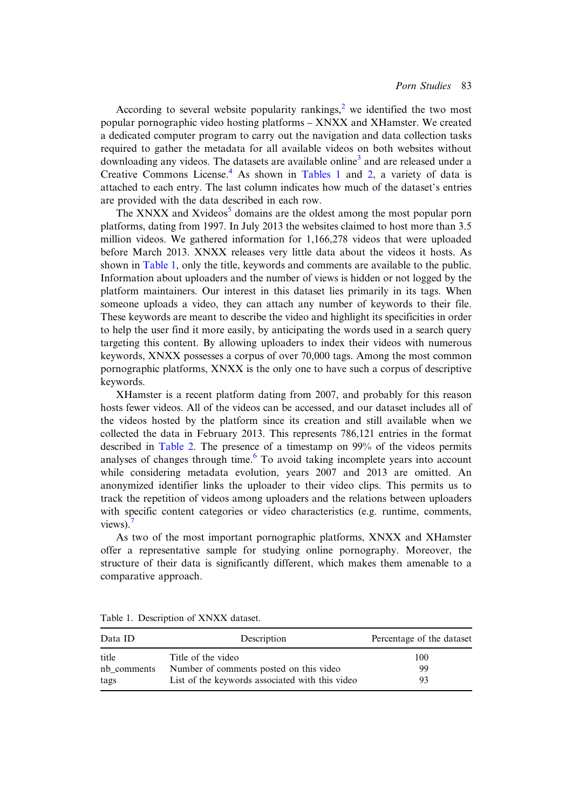According to several website popularity rankings,<sup>2</sup> we identified the two most popular pornographic video hosting platforms – XNXX and XHamster. We created a dedicated computer program to carry out the navigation and data collection tasks required to gather the metadata for all available videos on both websites without downloading any videos. The datasets are available online<sup>3</sup> and are released under a Creative Commons License.<sup>4</sup> As shown in Tables 1 and 2, a variety of data is attached to each entry. The last column indicates how much of the dataset's entries are provided with the data described in each row.

The XNXX and Xvideos<sup>5</sup> domains are the oldest among the most popular porn platforms, dating from 1997. In July 2013 the websites claimed to host more than 3.5 million videos. We gathered information for 1,166,278 videos that were uploaded before March 2013. XNXX releases very little data about the videos it hosts. As shown in Table 1, only the title, keywords and comments are available to the public. Information about uploaders and the number of views is hidden or not logged by the platform maintainers. Our interest in this dataset lies primarily in its tags. When someone uploads a video, they can attach any number of keywords to their file. These keywords are meant to describe the video and highlight its specificities in order to help the user find it more easily, by anticipating the words used in a search query targeting this content. By allowing uploaders to index their videos with numerous keywords, XNXX possesses a corpus of over 70,000 tags. Among the most common pornographic platforms, XNXX is the only one to have such a corpus of descriptive keywords.

XHamster is a recent platform dating from 2007, and probably for this reason hosts fewer videos. All of the videos can be accessed, and our dataset includes all of the videos hosted by the platform since its creation and still available when we collected the data in February 2013. This represents 786,121 entries in the format described in Table 2. The presence of a timestamp on 99% of the videos permits analyses of changes through time.<sup>6</sup> To avoid taking incomplete years into account while considering metadata evolution, years 2007 and 2013 are omitted. An anonymized identifier links the uploader to their video clips. This permits us to track the repetition of videos among uploaders and the relations between uploaders with specific content categories or video characteristics (e.g. runtime, comments, views). $<sup>7</sup>$ </sup>

As two of the most important pornographic platforms, XNXX and XHamster offer a representative sample for studying online pornography. Moreover, the structure of their data is significantly different, which makes them amenable to a comparative approach.

| Data ID     | Description                                     | Percentage of the dataset |
|-------------|-------------------------------------------------|---------------------------|
| title       | Title of the video                              | 100                       |
| nb comments | Number of comments posted on this video         | 99                        |
| tags        | List of the keywords associated with this video | 93                        |

Table 1. Description of XNXX dataset.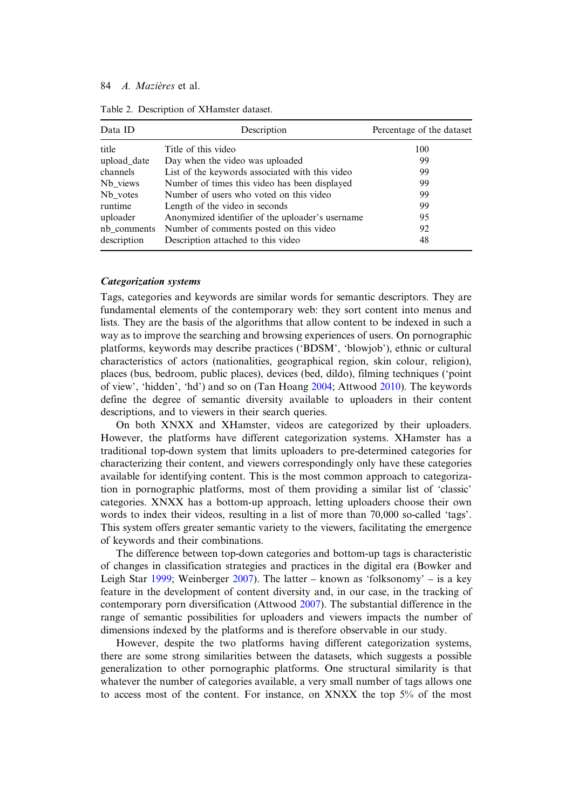| Data ID     | Description                                      | Percentage of the dataset |  |
|-------------|--------------------------------------------------|---------------------------|--|
| title       | Title of this video                              | 100                       |  |
| upload_date | Day when the video was uploaded                  | 99                        |  |
| channels    | List of the keywords associated with this video  | 99                        |  |
| Nb_views    | Number of times this video has been displayed    | 99                        |  |
| Nb votes    | Number of users who voted on this video          | 99                        |  |
| runtime     | Length of the video in seconds                   | 99                        |  |
| uploader    | Anonymized identifier of the uploader's username | 95                        |  |
| nb comments | Number of comments posted on this video          | 92                        |  |
| description | Description attached to this video               | 48                        |  |

Table 2. Description of XHamster dataset.

# Categorization systems

Tags, categories and keywords are similar words for semantic descriptors. They are fundamental elements of the contemporary web: they sort content into menus and lists. They are the basis of the algorithms that allow content to be indexed in such a way as to improve the searching and browsing experiences of users. On pornographic platforms, keywords may describe practices ('BDSM', 'blowjob'), ethnic or cultural characteristics of actors (nationalities, geographical region, skin colour, religion), places (bus, bedroom, public places), devices (bed, dildo), filming techniques ('point of view', 'hidden', 'hd') and so on (Tan Hoang 2004; Attwood 2010). The keywords define the degree of semantic diversity available to uploaders in their content descriptions, and to viewers in their search queries.

On both XNXX and XHamster, videos are categorized by their uploaders. However, the platforms have different categorization systems. XHamster has a traditional top-down system that limits uploaders to pre-determined categories for characterizing their content, and viewers correspondingly only have these categories available for identifying content. This is the most common approach to categorization in pornographic platforms, most of them providing a similar list of 'classic' categories. XNXX has a bottom-up approach, letting uploaders choose their own words to index their videos, resulting in a list of more than 70,000 so-called 'tags'. This system offers greater semantic variety to the viewers, facilitating the emergence of keywords and their combinations.

The difference between top-down categories and bottom-up tags is characteristic of changes in classification strategies and practices in the digital era (Bowker and Leigh Star 1999; Weinberger 2007). The latter – known as 'folksonomy' – is a key feature in the development of content diversity and, in our case, in the tracking of contemporary porn diversification (Attwood 2007). The substantial difference in the range of semantic possibilities for uploaders and viewers impacts the number of dimensions indexed by the platforms and is therefore observable in our study.

However, despite the two platforms having different categorization systems, there are some strong similarities between the datasets, which suggests a possible generalization to other pornographic platforms. One structural similarity is that whatever the number of categories available, a very small number of tags allows one to access most of the content. For instance, on XNXX the top 5% of the most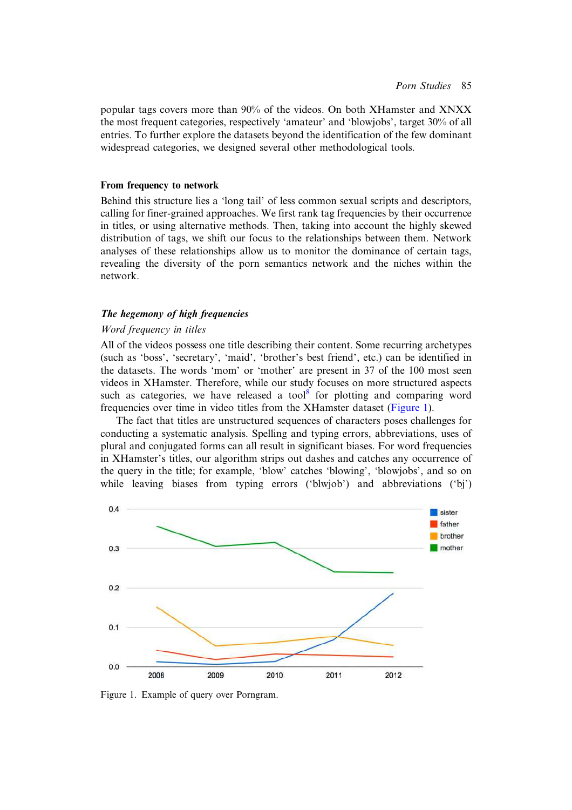popular tags covers more than 90% of the videos. On both XHamster and XNXX the most frequent categories, respectively 'amateur' and 'blowjobs', target 30% of all entries. To further explore the datasets beyond the identification of the few dominant widespread categories, we designed several other methodological tools.

### From frequency to network

Behind this structure lies a 'long tail' of less common sexual scripts and descriptors, calling for finer-grained approaches. We first rank tag frequencies by their occurrence in titles, or using alternative methods. Then, taking into account the highly skewed distribution of tags, we shift our focus to the relationships between them. Network analyses of these relationships allow us to monitor the dominance of certain tags, revealing the diversity of the porn semantics network and the niches within the network.

# The hegemony of high frequencies

### Word frequency in titles

All of the videos possess one title describing their content. Some recurring archetypes (such as 'boss', 'secretary', 'maid', 'brother's best friend', etc.) can be identified in the datasets. The words 'mom' or 'mother' are present in 37 of the 100 most seen videos in XHamster. Therefore, while our study focuses on more structured aspects such as categories, we have released a tool $8$  for plotting and comparing word frequencies over time in video titles from the XHamster dataset (Figure 1).

The fact that titles are unstructured sequences of characters poses challenges for conducting a systematic analysis. Spelling and typing errors, abbreviations, uses of plural and conjugated forms can all result in significant biases. For word frequencies in XHamster's titles, our algorithm strips out dashes and catches any occurrence of the query in the title; for example, 'blow' catches 'blowing', 'blowjobs', and so on while leaving biases from typing errors ('blwjob') and abbreviations ('bj')



Figure 1. Example of query over Porngram.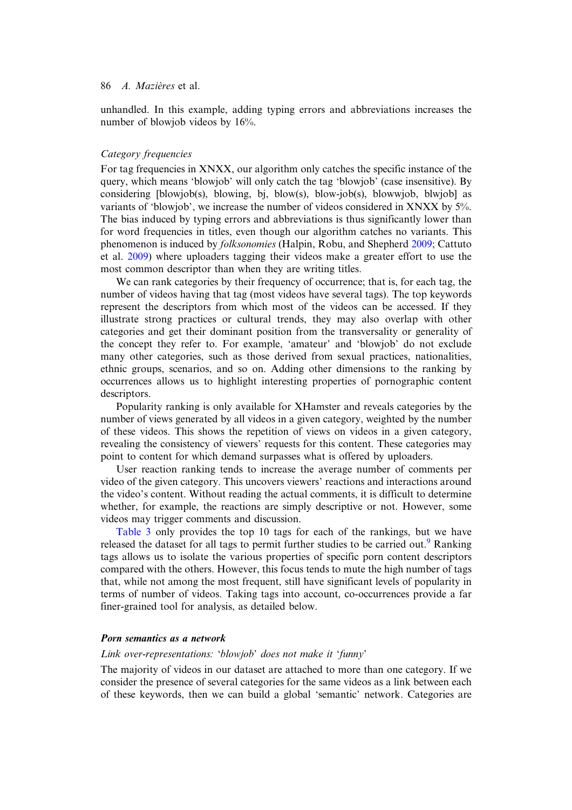unhandled. In this example, adding typing errors and abbreviations increases the number of blowjob videos by 16%.

# Category frequencies

For tag frequencies in XNXX, our algorithm only catches the specific instance of the query, which means 'blowjob' will only catch the tag 'blowjob' (case insensitive). By considering [blowjob(s), blowing, bj, blow(s), blow-job(s), blowwjob, blwjob] as variants of 'blowjob', we increase the number of videos considered in XNXX by 5%. The bias induced by typing errors and abbreviations is thus significantly lower than for word frequencies in titles, even though our algorithm catches no variants. This phenomenon is induced by folksonomies (Halpin, Robu, and Shepherd 2009; Cattuto et al. 2009) where uploaders tagging their videos make a greater effort to use the most common descriptor than when they are writing titles.

We can rank categories by their frequency of occurrence; that is, for each tag, the number of videos having that tag (most videos have several tags). The top keywords represent the descriptors from which most of the videos can be accessed. If they illustrate strong practices or cultural trends, they may also overlap with other categories and get their dominant position from the transversality or generality of the concept they refer to. For example, 'amateur' and 'blowjob' do not exclude many other categories, such as those derived from sexual practices, nationalities, ethnic groups, scenarios, and so on. Adding other dimensions to the ranking by occurrences allows us to highlight interesting properties of pornographic content descriptors.

Popularity ranking is only available for XHamster and reveals categories by the number of views generated by all videos in a given category, weighted by the number of these videos. This shows the repetition of views on videos in a given category, revealing the consistency of viewers' requests for this content. These categories may point to content for which demand surpasses what is offered by uploaders.

User reaction ranking tends to increase the average number of comments per video of the given category. This uncovers viewers' reactions and interactions around the video's content. Without reading the actual comments, it is difficult to determine whether, for example, the reactions are simply descriptive or not. However, some videos may trigger comments and discussion.

Table 3 only provides the top 10 tags for each of the rankings, but we have released the dataset for all tags to permit further studies to be carried out.<sup>9</sup> Ranking tags allows us to isolate the various properties of specific porn content descriptors compared with the others. However, this focus tends to mute the high number of tags that, while not among the most frequent, still have significant levels of popularity in terms of number of videos. Taking tags into account, co-occurrences provide a far finer-grained tool for analysis, as detailed below.

# Porn semantics as a network

#### Link over-representations: 'blowjob' does not make it 'funny'

The majority of videos in our dataset are attached to more than one category. If we consider the presence of several categories for the same videos as a link between each of these keywords, then we can build a global 'semantic' network. Categories are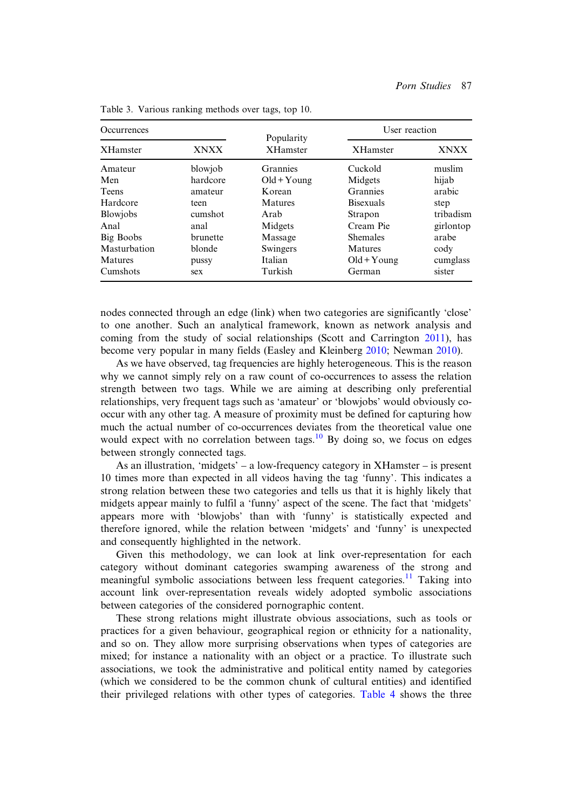| <i>Occurrences</i> |             |                               | User reaction    |             |
|--------------------|-------------|-------------------------------|------------------|-------------|
| <b>XHamster</b>    | <b>XNXX</b> | Popularity<br><b>XHamster</b> | <b>XHamster</b>  | <b>XNXX</b> |
| Amateur            | blowjob     | <b>Grannies</b>               | Cuckold          | muslim      |
| Men                | hardcore    | $Old+Young$                   | Midgets          | hijab       |
| <b>Teens</b>       | amateur     | Korean                        | <b>Grannies</b>  | arabic      |
| Hardcore           | teen        | Matures                       | <b>Bisexuals</b> | step        |
| <b>Blowjobs</b>    | cumshot     | Arab                          | Strapon          | tribadism   |
| Anal               | anal        | Midgets                       | Cream Pie        | girlontop   |
| Big Boobs          | brunette    | Massage                       | <b>Shemales</b>  | arabe       |
| Masturbation       | blonde      | Swingers                      | <b>Matures</b>   | cody        |
| <b>Matures</b>     | pussy       | Italian                       | $Old+Young$      | cumglass    |
| Cumshots           | sex         | Turkish                       | German           | sister      |

Table 3. Various ranking methods over tags, top 10.

nodes connected through an edge (link) when two categories are significantly 'close' to one another. Such an analytical framework, known as network analysis and coming from the study of social relationships (Scott and Carrington 2011), has become very popular in many fields (Easley and Kleinberg 2010; Newman 2010).

As we have observed, tag frequencies are highly heterogeneous. This is the reason why we cannot simply rely on a raw count of co-occurrences to assess the relation strength between two tags. While we are aiming at describing only preferential relationships, very frequent tags such as 'amateur' or 'blowjobs' would obviously cooccur with any other tag. A measure of proximity must be defined for capturing how much the actual number of co-occurrences deviates from the theoretical value one would expect with no correlation between tags.<sup>10</sup> By doing so, we focus on edges between strongly connected tags.

As an illustration, 'midgets' – a low-frequency category in XHamster – is present 10 times more than expected in all videos having the tag 'funny'. This indicates a strong relation between these two categories and tells us that it is highly likely that midgets appear mainly to fulfil a 'funny' aspect of the scene. The fact that 'midgets' appears more with 'blowjobs' than with 'funny' is statistically expected and therefore ignored, while the relation between 'midgets' and 'funny' is unexpected and consequently highlighted in the network.

Given this methodology, we can look at link over-representation for each category without dominant categories swamping awareness of the strong and meaningful symbolic associations between less frequent categories.<sup>11</sup> Taking into account link over-representation reveals widely adopted symbolic associations between categories of the considered pornographic content.

These strong relations might illustrate obvious associations, such as tools or practices for a given behaviour, geographical region or ethnicity for a nationality, and so on. They allow more surprising observations when types of categories are mixed; for instance a nationality with an object or a practice. To illustrate such associations, we took the administrative and political entity named by categories (which we considered to be the common chunk of cultural entities) and identified their privileged relations with other types of categories. Table 4 shows the three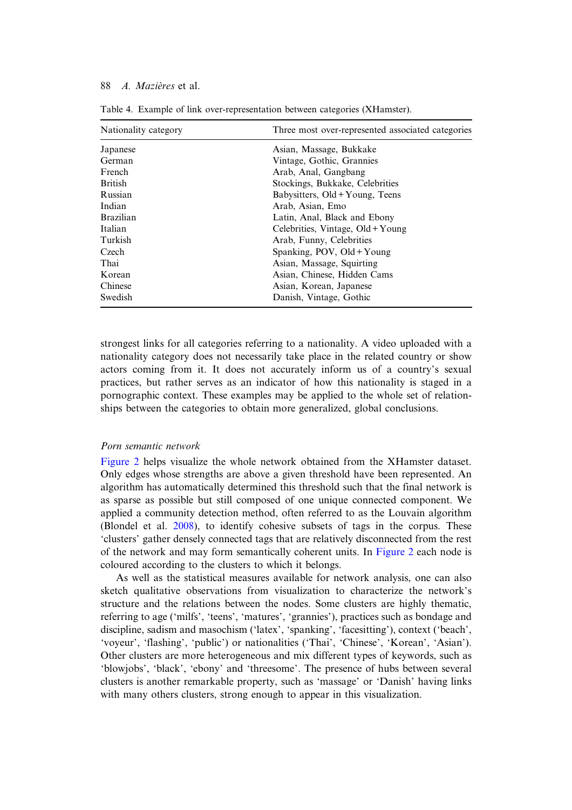| Nationality category | Three most over-represented associated categories |
|----------------------|---------------------------------------------------|
| Japanese             | Asian, Massage, Bukkake                           |
| German               | Vintage, Gothic, Grannies                         |
| <b>French</b>        | Arab, Anal, Gangbang                              |
| <b>British</b>       | Stockings, Bukkake, Celebrities                   |
| Russian              | Babysitters, Old+Young, Teens                     |
| Indian               | Arab, Asian, Emo                                  |
| <b>Brazilian</b>     | Latin, Anal, Black and Ebony                      |
| Italian              | Celebrities, Vintage, Old+Young                   |
| Turkish              | Arab, Funny, Celebrities                          |
| Czech                | Spanking, POV, Old + Young                        |
| Thai                 | Asian, Massage, Squirting                         |
| Korean               | Asian, Chinese, Hidden Cams                       |
| Chinese              | Asian, Korean, Japanese                           |
| Swedish              | Danish, Vintage, Gothic                           |

Table 4. Example of link over-representation between categories (XHamster).

strongest links for all categories referring to a nationality. A video uploaded with a nationality category does not necessarily take place in the related country or show actors coming from it. It does not accurately inform us of a country's sexual practices, but rather serves as an indicator of how this nationality is staged in a pornographic context. These examples may be applied to the whole set of relationships between the categories to obtain more generalized, global conclusions.

#### Porn semantic network

Figure 2 helps visualize the whole network obtained from the XHamster dataset. Only edges whose strengths are above a given threshold have been represented. An algorithm has automatically determined this threshold such that the final network is as sparse as possible but still composed of one unique connected component. We applied a community detection method, often referred to as the Louvain algorithm (Blondel et al. 2008), to identify cohesive subsets of tags in the corpus. These 'clusters' gather densely connected tags that are relatively disconnected from the rest of the network and may form semantically coherent units. In Figure 2 each node is coloured according to the clusters to which it belongs.

As well as the statistical measures available for network analysis, one can also sketch qualitative observations from visualization to characterize the network's structure and the relations between the nodes. Some clusters are highly thematic, referring to age ('milfs', 'teens', 'matures', 'grannies'), practices such as bondage and discipline, sadism and masochism ('latex', 'spanking', 'facesitting'), context ('beach', 'voyeur', 'flashing', 'public') or nationalities ('Thai', 'Chinese', 'Korean', 'Asian'). Other clusters are more heterogeneous and mix different types of keywords, such as 'blowjobs', 'black', 'ebony' and 'threesome'. The presence of hubs between several clusters is another remarkable property, such as 'massage' or 'Danish' having links with many others clusters, strong enough to appear in this visualization.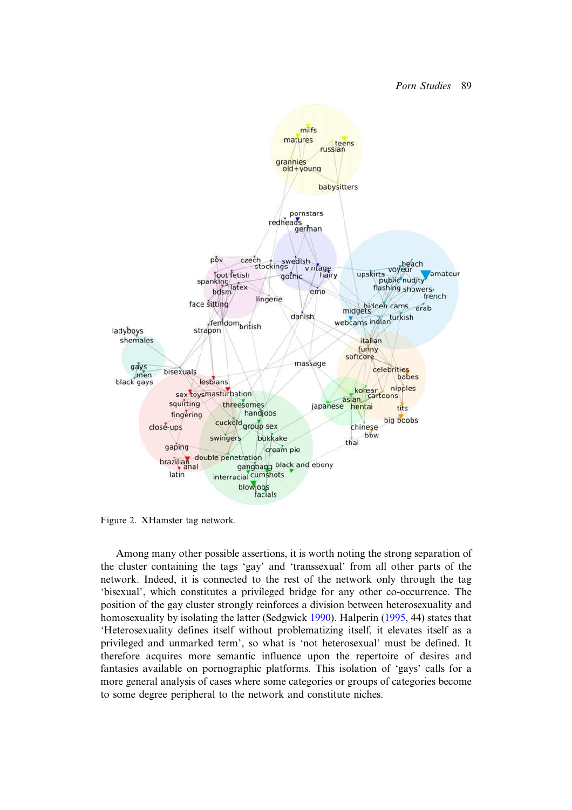

Figure 2. XHamster tag network.

Among many other possible assertions, it is worth noting the strong separation of the cluster containing the tags 'gay' and 'transsexual' from all other parts of the network. Indeed, it is connected to the rest of the network only through the tag 'bisexual', which constitutes a privileged bridge for any other co-occurrence. The position of the gay cluster strongly reinforces a division between heterosexuality and homosexuality by isolating the latter (Sedgwick 1990). Halperin (1995, 44) states that 'Heterosexuality defines itself without problematizing itself, it elevates itself as a privileged and unmarked term', so what is 'not heterosexual' must be defined. It therefore acquires more semantic influence upon the repertoire of desires and fantasies available on pornographic platforms. This isolation of 'gays' calls for a more general analysis of cases where some categories or groups of categories become to some degree peripheral to the network and constitute niches.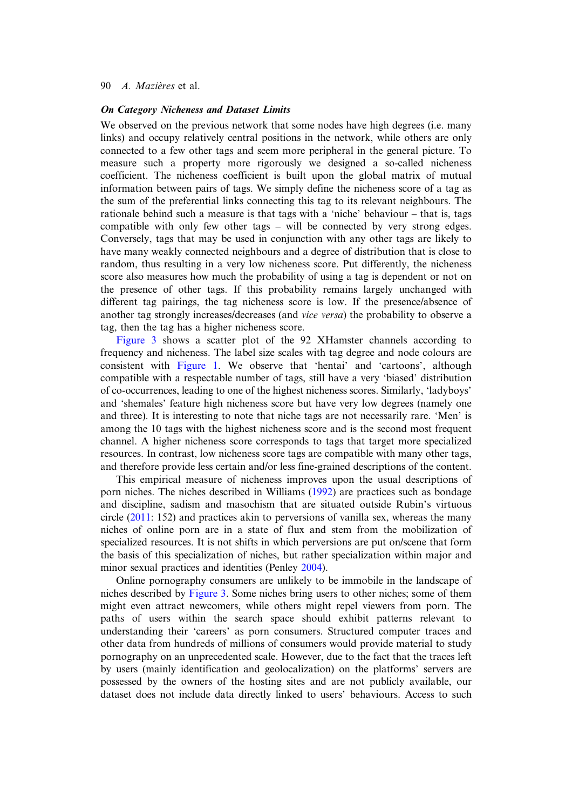#### On Category Nicheness and Dataset Limits

We observed on the previous network that some nodes have high degrees (i.e. many links) and occupy relatively central positions in the network, while others are only connected to a few other tags and seem more peripheral in the general picture. To measure such a property more rigorously we designed a so-called nicheness coefficient. The nicheness coefficient is built upon the global matrix of mutual information between pairs of tags. We simply define the nicheness score of a tag as the sum of the preferential links connecting this tag to its relevant neighbours. The rationale behind such a measure is that tags with a 'niche' behaviour – that is, tags compatible with only few other tags – will be connected by very strong edges. Conversely, tags that may be used in conjunction with any other tags are likely to have many weakly connected neighbours and a degree of distribution that is close to random, thus resulting in a very low nicheness score. Put differently, the nicheness score also measures how much the probability of using a tag is dependent or not on the presence of other tags. If this probability remains largely unchanged with different tag pairings, the tag nicheness score is low. If the presence/absence of another tag strongly increases/decreases (and vice versa) the probability to observe a tag, then the tag has a higher nicheness score.

Figure 3 shows a scatter plot of the 92 XHamster channels according to frequency and nicheness. The label size scales with tag degree and node colours are consistent with Figure 1. We observe that 'hentai' and 'cartoons', although compatible with a respectable number of tags, still have a very 'biased' distribution of co-occurrences, leading to one of the highest nicheness scores. Similarly, 'ladyboys' and 'shemales' feature high nicheness score but have very low degrees (namely one and three). It is interesting to note that niche tags are not necessarily rare. 'Men' is among the 10 tags with the highest nicheness score and is the second most frequent channel. A higher nicheness score corresponds to tags that target more specialized resources. In contrast, low nicheness score tags are compatible with many other tags, and therefore provide less certain and/or less fine-grained descriptions of the content.

This empirical measure of nicheness improves upon the usual descriptions of porn niches. The niches described in Williams (1992) are practices such as bondage and discipline, sadism and masochism that are situated outside Rubin's virtuous circle (2011: 152) and practices akin to perversions of vanilla sex, whereas the many niches of online porn are in a state of flux and stem from the mobilization of specialized resources. It is not shifts in which perversions are put on/scene that form the basis of this specialization of niches, but rather specialization within major and minor sexual practices and identities (Penley 2004).

Online pornography consumers are unlikely to be immobile in the landscape of niches described by Figure 3. Some niches bring users to other niches; some of them might even attract newcomers, while others might repel viewers from porn. The paths of users within the search space should exhibit patterns relevant to understanding their 'careers' as porn consumers. Structured computer traces and other data from hundreds of millions of consumers would provide material to study pornography on an unprecedented scale. However, due to the fact that the traces left by users (mainly identification and geolocalization) on the platforms' servers are possessed by the owners of the hosting sites and are not publicly available, our dataset does not include data directly linked to users' behaviours. Access to such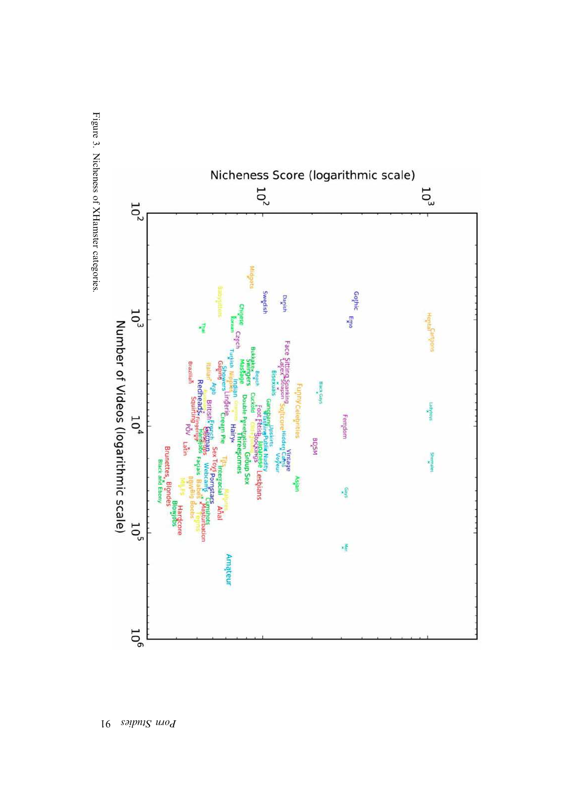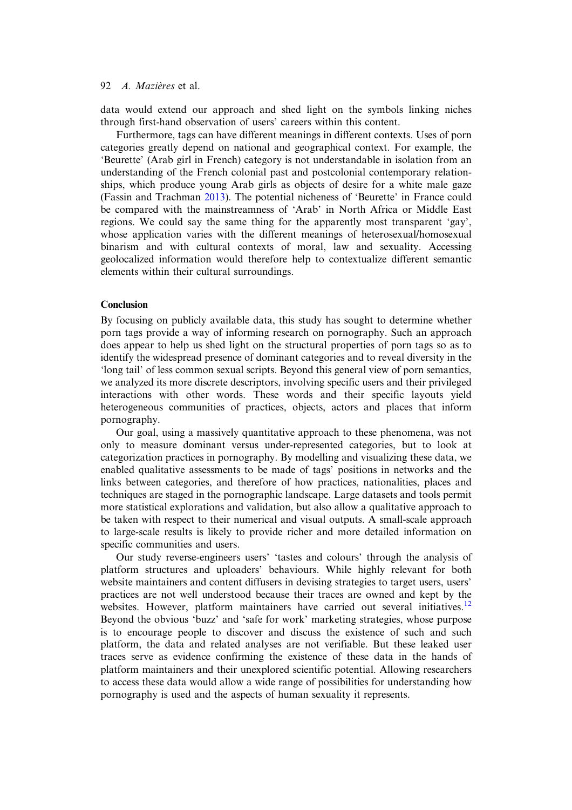data would extend our approach and shed light on the symbols linking niches through first-hand observation of users' careers within this content.

Furthermore, tags can have different meanings in different contexts. Uses of porn categories greatly depend on national and geographical context. For example, the 'Beurette' (Arab girl in French) category is not understandable in isolation from an understanding of the French colonial past and postcolonial contemporary relationships, which produce young Arab girls as objects of desire for a white male gaze (Fassin and Trachman 2013). The potential nicheness of 'Beurette' in France could be compared with the mainstreamness of 'Arab' in North Africa or Middle East regions. We could say the same thing for the apparently most transparent 'gay', whose application varies with the different meanings of heterosexual/homosexual binarism and with cultural contexts of moral, law and sexuality. Accessing geolocalized information would therefore help to contextualize different semantic elements within their cultural surroundings.

# Conclusion

By focusing on publicly available data, this study has sought to determine whether porn tags provide a way of informing research on pornography. Such an approach does appear to help us shed light on the structural properties of porn tags so as to identify the widespread presence of dominant categories and to reveal diversity in the 'long tail' of less common sexual scripts. Beyond this general view of porn semantics, we analyzed its more discrete descriptors, involving specific users and their privileged interactions with other words. These words and their specific layouts yield heterogeneous communities of practices, objects, actors and places that inform pornography.

Our goal, using a massively quantitative approach to these phenomena, was not only to measure dominant versus under-represented categories, but to look at categorization practices in pornography. By modelling and visualizing these data, we enabled qualitative assessments to be made of tags' positions in networks and the links between categories, and therefore of how practices, nationalities, places and techniques are staged in the pornographic landscape. Large datasets and tools permit more statistical explorations and validation, but also allow a qualitative approach to be taken with respect to their numerical and visual outputs. A small-scale approach to large-scale results is likely to provide richer and more detailed information on specific communities and users.

Our study reverse-engineers users' 'tastes and colours' through the analysis of platform structures and uploaders' behaviours. While highly relevant for both website maintainers and content diffusers in devising strategies to target users, users' practices are not well understood because their traces are owned and kept by the websites. However, platform maintainers have carried out several initiatives.<sup>12</sup> Beyond the obvious 'buzz' and 'safe for work' marketing strategies, whose purpose is to encourage people to discover and discuss the existence of such and such platform, the data and related analyses are not verifiable. But these leaked user traces serve as evidence confirming the existence of these data in the hands of platform maintainers and their unexplored scientific potential. Allowing researchers to access these data would allow a wide range of possibilities for understanding how pornography is used and the aspects of human sexuality it represents.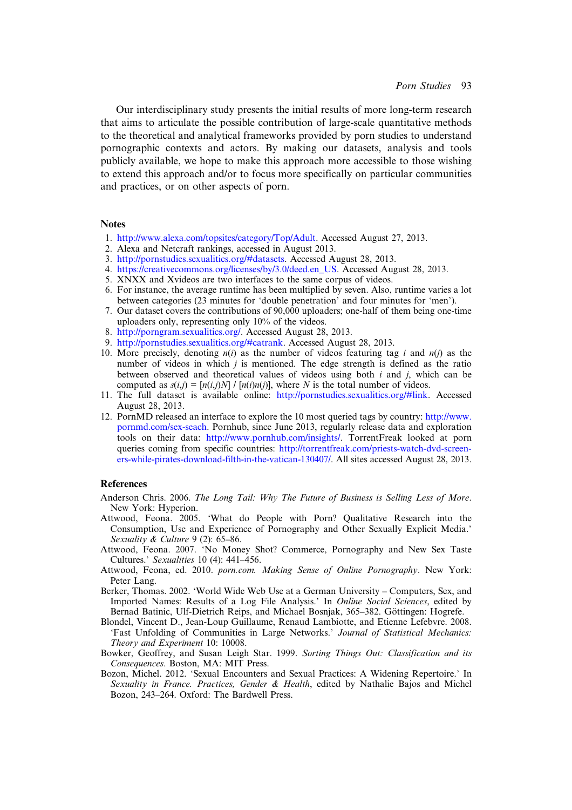Our interdisciplinary study presents the initial results of more long-term research that aims to articulate the possible contribution of large-scale quantitative methods to the theoretical and analytical frameworks provided by porn studies to understand pornographic contexts and actors. By making our datasets, analysis and tools publicly available, we hope to make this approach more accessible to those wishing to extend this approach and/or to focus more specifically on particular communities and practices, or on other aspects of porn.

# **Notes**

- 1. http://www.alexa.com/topsites/category/Top/Adult. Accessed August 27, 2013.
- 2. Alexa and Netcraft rankings, accessed in August 2013.
- 3. http://pornstudies.sexualitics.org/#datasets. Accessed August 28, 2013.
- 4. https://creativecommons.org/licenses/by/3.0/deed.en\_US. Accessed August 28, 2013.
- 5. XNXX and Xvideos are two interfaces to the same corpus of videos.
- 6. For instance, the average runtime has been multiplied by seven. Also, runtime varies a lot between categories (23 minutes for 'double penetration' and four minutes for 'men').
- 7. Our dataset covers the contributions of 90,000 uploaders; one-half of them being one-time uploaders only, representing only 10% of the videos.
- 8. http://porngram.sexualitics.org/. Accessed August 28, 2013.
- 9. http://pornstudies.sexualitics.org/#catrank. Accessed August 28, 2013.
- 10. More precisely, denoting  $n(i)$  as the number of videos featuring tag i and  $n(i)$  as the number of videos in which  $j$  is mentioned. The edge strength is defined as the ratio between observed and theoretical values of videos using both  $i$  and  $j$ , which can be computed as  $s(i,j)=[n(i,j)N]/[n(i)n(j)]$ , where N is the total number of videos.
- 11. The full dataset is available online: http://pornstudies.sexualitics.org/#link. Accessed August 28, 2013.
- 12. PornMD released an interface to explore the 10 most queried tags by country: http://www. pornmd.com/sex-seach. Pornhub, since June 2013, regularly release data and exploration tools on their data: http://www.pornhub.com/insights/. TorrentFreak looked at porn queries coming from specific countries: http://torrentfreak.com/priests-watch-dvd-screeners-while-pirates-download-filth-in-the-vatican-130407/. All sites accessed August 28, 2013.

### **References**

- Anderson Chris. 2006. The Long Tail: Why The Future of Business is Selling Less of More. New York: Hyperion.
- Attwood, Feona. 2005. 'What do People with Porn? Qualitative Research into the Consumption, Use and Experience of Pornography and Other Sexually Explicit Media.' Sexuality & Culture 9 (2): 65–86.
- Attwood, Feona. 2007. 'No Money Shot? Commerce, Pornography and New Sex Taste Cultures.' Sexualities 10 (4): 441–456.
- Attwood, Feona, ed. 2010. porn.com. Making Sense of Online Pornography. New York: Peter Lang.
- Berker, Thomas. 2002. 'World Wide Web Use at a German University Computers, Sex, and Imported Names: Results of a Log File Analysis.' In Online Social Sciences, edited by Bernad Batinic, Ulf-Dietrich Reips, and Michael Bosnjak, 365–382. Göttingen: Hogrefe.
- Blondel, Vincent D., Jean-Loup Guillaume, Renaud Lambiotte, and Etienne Lefebvre. 2008. 'Fast Unfolding of Communities in Large Networks.' Journal of Statistical Mechanics: Theory and Experiment 10: 10008.
- Bowker, Geoffrey, and Susan Leigh Star. 1999. Sorting Things Out: Classification and its Consequences. Boston, MA: MIT Press.
- Bozon, Michel. 2012. 'Sexual Encounters and Sexual Practices: A Widening Repertoire.' In Sexuality in France. Practices, Gender & Health, edited by Nathalie Bajos and Michel Bozon, 243–264. Oxford: The Bardwell Press.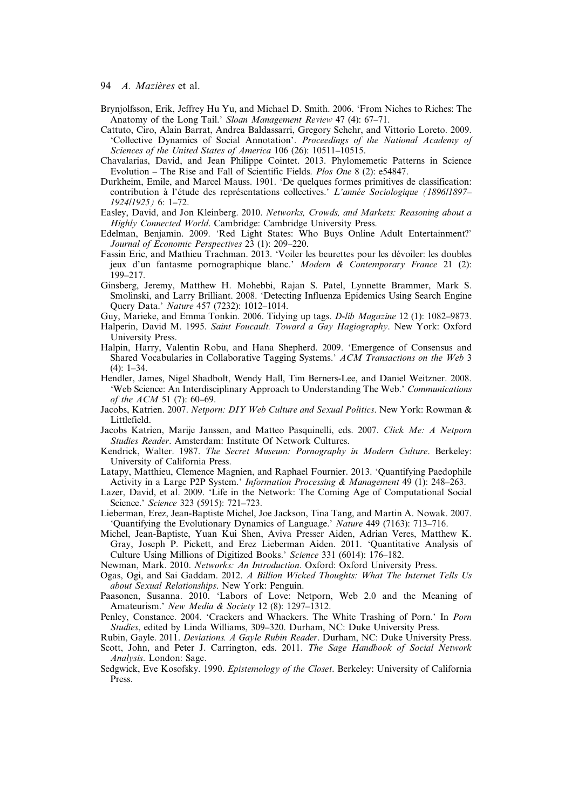- Brynjolfsson, Erik, Jeffrey Hu Yu, and Michael D. Smith. 2006. 'From Niches to Riches: The Anatomy of the Long Tail.' Sloan Management Review 47 (4): 67-71.
- Cattuto, Ciro, Alain Barrat, Andrea Baldassarri, Gregory Schehr, and Vittorio Loreto. 2009. 'Collective Dynamics of Social Annotation'. Proceedings of the National Academy of Sciences of the United States of America 106 (26): 10511–10515.
- Chavalarias, David, and Jean Philippe Cointet. 2013. Phylomemetic Patterns in Science Evolution – The Rise and Fall of Scientific Fields. Plos One 8 (2): e54847.
- Durkheim, Emile, and Marcel Mauss. 1901. 'De quelques formes primitives de classification: contribution à l'étude des représentations collectives.' L'année Sociologique (1896/1897– 1924/1925) 6: 1–72.
- Easley, David, and Jon Kleinberg. 2010. Networks, Crowds, and Markets: Reasoning about a Highly Connected World. Cambridge: Cambridge University Press.
- Edelman, Benjamin. 2009. 'Red Light States: Who Buys Online Adult Entertainment?' Journal of Economic Perspectives 23 (1): 209–220.
- Fassin Eric, and Mathieu Trachman. 2013. 'Voiler les beurettes pour les dévoiler: les doubles jeux d'un fantasme pornographique blanc.' Modern & Contemporary France 21 (2): 199–217.
- Ginsberg, Jeremy, Matthew H. Mohebbi, Rajan S. Patel, Lynnette Brammer, Mark S. Smolinski, and Larry Brilliant. 2008. 'Detecting Influenza Epidemics Using Search Engine Query Data.' Nature 457 (7232): 1012–1014.
- Guy, Marieke, and Emma Tonkin. 2006. Tidying up tags. *D-lib Magazine* 12 (1): 1082–9873.
- Halperin, David M. 1995. Saint Foucault. Toward a Gay Hagiography. New York: Oxford University Press.
- Halpin, Harry, Valentin Robu, and Hana Shepherd. 2009. 'Emergence of Consensus and Shared Vocabularies in Collaborative Tagging Systems.' ACM Transactions on the Web 3 (4): 1–34.
- Hendler, James, Nigel Shadbolt, Wendy Hall, Tim Berners-Lee, and Daniel Weitzner. 2008. 'Web Science: An Interdisciplinary Approach to Understanding The Web.' Communications of the ACM 51 (7): 60–69.
- Jacobs, Katrien. 2007. Netporn: DIY Web Culture and Sexual Politics. New York: Rowman & Littlefield.
- Jacobs Katrien, Marije Janssen, and Matteo Pasquinelli, eds. 2007. Click Me: A Netporn Studies Reader. Amsterdam: Institute Of Network Cultures.
- Kendrick, Walter. 1987. The Secret Museum: Pornography in Modern Culture. Berkeley: University of California Press.
- Latapy, Matthieu, Clemence Magnien, and Raphael Fournier. 2013. 'Quantifying Paedophile Activity in a Large P2P System.' Information Processing & Management 49 (1): 248–263.
- Lazer, David, et al. 2009. 'Life in the Network: The Coming Age of Computational Social Science.' Science 323 (5915): 721–723.
- Lieberman, Erez, Jean-Baptiste Michel, Joe Jackson, Tina Tang, and Martin A. Nowak. 2007. 'Quantifying the Evolutionary Dynamics of Language.' Nature 449 (7163): 713–716.
- Michel, Jean-Baptiste, Yuan Kui Shen, Aviva Presser Aiden, Adrian Veres, Matthew K. Gray, Joseph P. Pickett, and Erez Lieberman Aiden. 2011. 'Quantitative Analysis of Culture Using Millions of Digitized Books.' Science 331 (6014): 176–182.

Newman, Mark. 2010. Networks: An Introduction. Oxford: Oxford University Press.

- Ogas, Ogi, and Sai Gaddam. 2012. A Billion Wicked Thoughts: What The Internet Tells Us about Sexual Relationships. New York: Penguin.
- Paasonen, Susanna. 2010. 'Labors of Love: Netporn, Web 2.0 and the Meaning of Amateurism.' New Media & Society 12 (8): 1297-1312.
- Penley, Constance. 2004. 'Crackers and Whackers. The White Trashing of Porn.' In Porn Studies, edited by Linda Williams, 309–320. Durham, NC: Duke University Press.

Rubin, Gayle. 2011. Deviations. A Gayle Rubin Reader. Durham, NC: Duke University Press. Scott, John, and Peter J. Carrington, eds. 2011. The Sage Handbook of Social Network Analysis. London: Sage.

Sedgwick, Eve Kosofsky. 1990. Epistemology of the Closet. Berkeley: University of California Press.